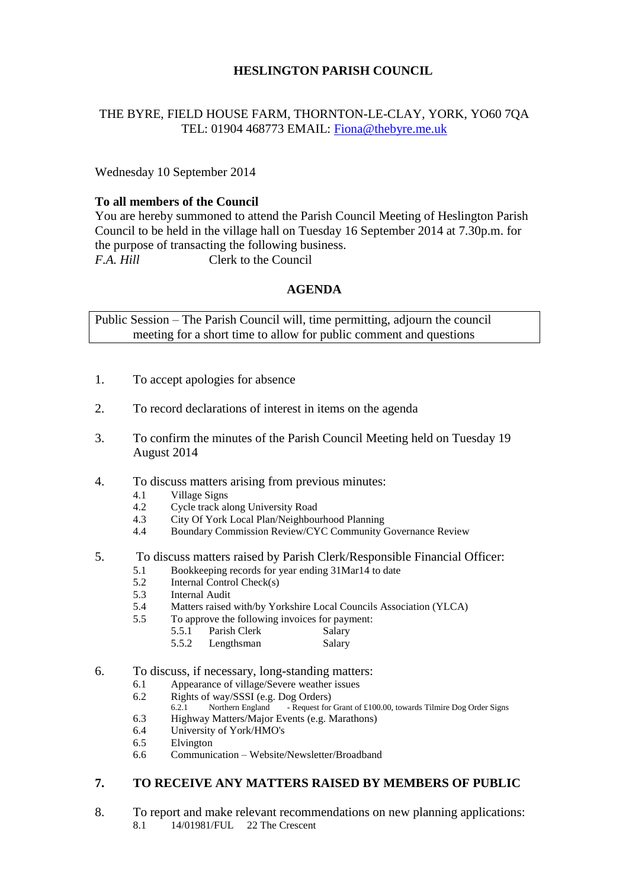# **HESLINGTON PARISH COUNCIL**

# THE BYRE, FIELD HOUSE FARM, THORNTON-LE-CLAY, YORK, YO60 7QA TEL: 01904 468773 EMAIL: [Fiona@thebyre.me.uk](mailto:Fiona@thebyre.me.uk)

Wednesday 10 September 2014

## **To all members of the Council**

You are hereby summoned to attend the Parish Council Meeting of Heslington Parish Council to be held in the village hall on Tuesday 16 September 2014 at 7.30p.m. for the purpose of transacting the following business. *F.A. Hill* Clerk to the Council

## **AGENDA**

Public Session – The Parish Council will, time permitting, adjourn the council meeting for a short time to allow for public comment and questions

- 1. To accept apologies for absence
- 2. To record declarations of interest in items on the agenda
- 3. To confirm the minutes of the Parish Council Meeting held on Tuesday 19 August 2014
- 4. To discuss matters arising from previous minutes:
	- 4.1 Village Signs
	- 4.2 Cycle track along University Road
	- 4.3 City Of York Local Plan/Neighbourhood Planning
	- 4.4 Boundary Commission Review/CYC Community Governance Review

#### 5. To discuss matters raised by Parish Clerk/Responsible Financial Officer:

- 5.1 Bookkeeping records for year ending 31Mar14 to date
- 5.2 Internal Control Check(s)
- 5.3 Internal Audit
- 5.4 Matters raised with/by Yorkshire Local Councils Association (YLCA)
- 5.5 To approve the following invoices for payment:

| 5.5.1 | Parish Clerk | Salary |
|-------|--------------|--------|
| 5.5.2 | Lengthsman   | Salary |

- 6. To discuss, if necessary, long-standing matters:
	- 6.1 Appearance of village/Severe weather issues
	- 6.2 Rights of way/SSSI (e.g. Dog Orders)
		- 6.2.1 Northern England Request for Grant of £100.00, towards Tilmire Dog Order Signs
	- 6.3 Highway Matters/Major Events (e.g. Marathons)
	- 6.4 University of York/HMO's
	- 6.5 Elvington
	- 6.6 Communication Website/Newsletter/Broadband

# **7. TO RECEIVE ANY MATTERS RAISED BY MEMBERS OF PUBLIC**

8. To report and make relevant recommendations on new planning applications:<br>8.1 14/01981/FUL 22 The Crescent 8.1 14/01981/FUL 22 The Crescent